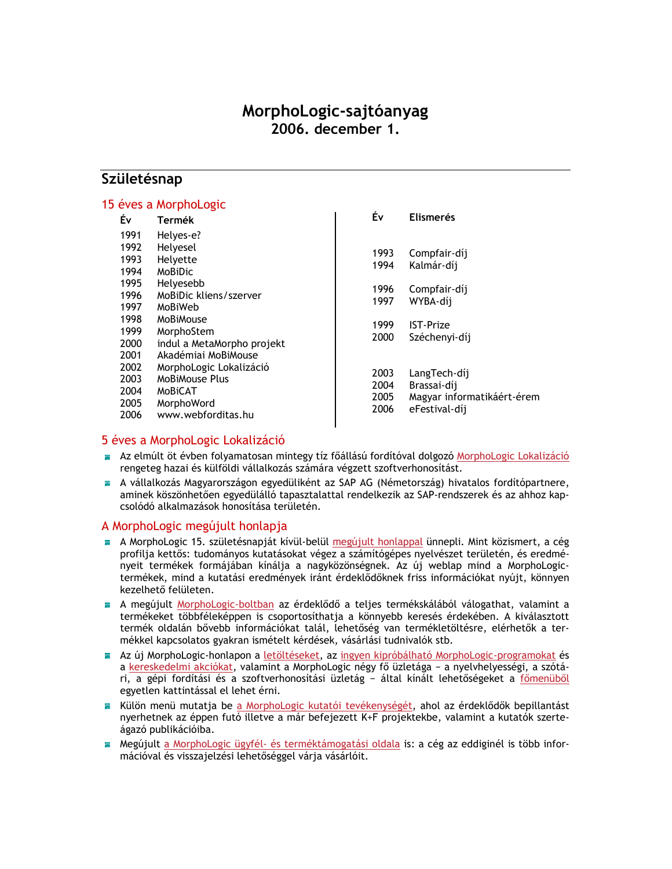# MorphoLogic-sajtóanyag 2006. december 1.

## Születésnap

#### 15 éves a MorphoLogic Év **Elismerés** Éν. **Termék** 1991 Helyes-e? 1992 Helvesel 1993 Compfair-díj 1993 Helyette 1994 Kalmár-díj MoBiDic 1994 1995 Helvesebb 1996 Compfair-díj 1996 MoBiDic kliens/szerver 1997 WYBA-díj 1997 MoBiWeb 1998 MoBiMouse 1999 **IST-Prize** 1999 MorphoStem 2000 Széchenyi-díj 2000 indul a MetaMorpho projekt 2001 Akadémiai MoBiMouse 2002 MorphoLogic Lokalizáció LangTech-díj 2003 2003 MoBiMouse Plus 2004 Brassai-díj 2004 MoBiCAT 2005 Magyar informatikáért-érem 2005 MorphoWord 2006 eFestival-díj 2006 www.webforditas.hu

### 5 éves a MorphoLogic Lokalizáció

- Az elmúlt öt évben folyamatosan mintegy tíz főállású fordítóval dolgozó MorphoLogic Lokalizáció rengeteg hazai és külföldi vállalkozás számára végzett szoftverhonosítást.
- A vállalkozás Magyarországon egyedüliként az SAP AG (Németország) hivatalos fordítópartnere, aminek köszönhetően egyedülálló tapasztalattal rendelkezik az SAP-rendszerek és az ahhoz kapcsolódó alkalmazások honosítása területén.

#### A MorphoLogic megújult honlapja

- A MorphoLogic 15. születésnapját kívül-belül megújult honlappal ünnepli. Mint közismert, a cég profilja kettős: tudományos kutatásokat végez a számítógépes nyelvészet területén, és eredményeit termékek formájában kínálja a nagyközönségnek. Az új weblap mind a MorphoLogictermékek, mind a kutatási eredmények iránt érdeklődőknek friss információkat nyújt, könnyen kezelhető felületen.
- A megújult MorphoLogic-boltban az érdeklődő a teljes termékskálából válogathat, valamint a termékeket többféleképpen is csoportosíthatja a könnyebb keresés érdekében. A kiválasztott termék oldalán bővebb információkat talál, lehetőség van termékletöltésre, elérhetők a termékkel kapcsolatos gyakran ismételt kérdések, vásárlási tudnivalók stb.
- Az új MorphoLogic-honlapon a letöltéseket, az ingyen kipróbálható MorphoLogic-programokat és a kereskedelmi akciókat, valamint a MorphoLogic négy fő üzletága - a nyelvhelyességi, a szótári, a gépi fordítási és a szoftverhonosítási üzletág - által kínált lehetőségeket a főmenüből egyetlen kattintással el lehet érni.
- Külön menü mutatja be a MorphoLogic kutatói tevékenységét, ahol az érdeklődők bepillantást e. nyerhetnek az éppen futó illetve a már befejezett K+F projektekbe, valamint a kutatók szerteágazó publikációiba.
- Megújult a MorphoLogic ügyfél- és terméktámogatási oldala is: a cég az eddiginél is több inforan a mációval és visszajelzési lehetőséggel várja vásárlóit.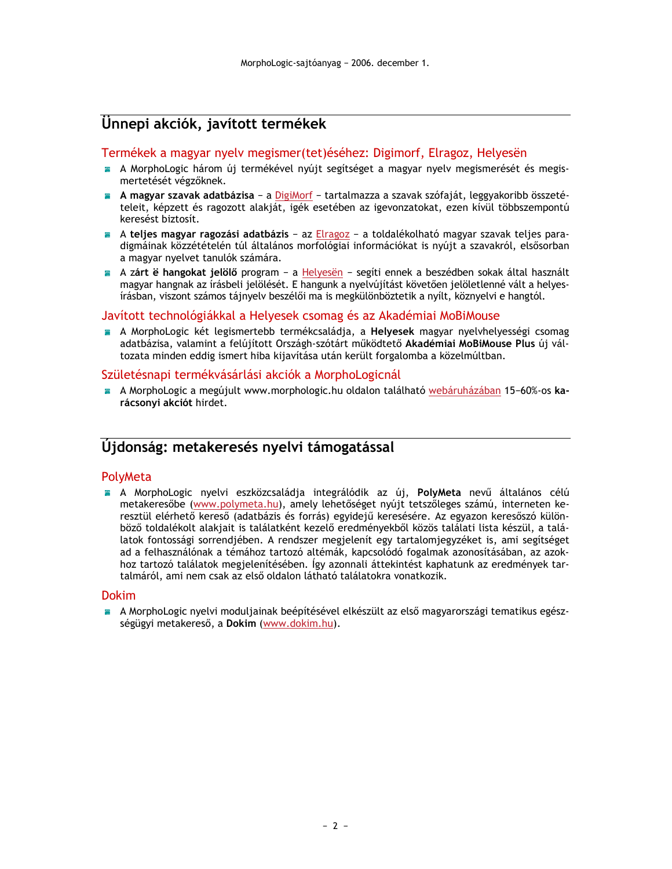# Unnepi akciók, javított termékek

#### Termékek a magyar nyelv megismer (tet) éséhez: Digimorf, Elragoz, Helyesën

- A MorphoLogic három új termékével nyújt segítséget a magyar nyelv megismerését és megismertetését végzőknek.
- A magyar szavak adatbázisa a DigiMorf tartalmazza a szavak szófaját, leggyakoribb összetételeit, képzett és ragozott alakját, igék esetében az igevonzatokat, ezen kívül többszempontú keresést biztosít.
- A teljes magyar ragozási adatbázis az Elragoz a toldalékolható magyar szavak teljes paradigmáinak közzétételén túl általános morfológiai információkat is nyújt a szavakról, elsősorban a magyar nyelvet tanulók számára.
- A zárt é hangokat jelölő program a Helyesën segíti ennek a beszédben sokak által használt magyar hangnak az írásbeli jelölését. E hangunk a nyelvújítást követően jelöletlenné vált a helyesírásban, viszont számos tájnyelv beszélői ma is megkülönböztetik a nyílt, köznyelvi e hangtól.

#### Javított technológiákkal a Helyesek csomag és az Akadémiai MoBiMouse

A MorphoLogic két legismertebb termékcsaládja, a Helyesek magyar nyelvhelyességi csomag adatbázisa, valamint a felújított Országh-szótárt működtető Akadémiai MoBiMouse Plus új változata minden eddig ismert hiba kijavítása után került forgalomba a közelmúltban.

#### Születésnapi termékvásárlási akciók a MorphoLogicnál

A MorphoLogic a megújult www.morphologic.hu oldalon található webáruházában 15-60%-os karácsonyi akciót hirdet.

## Újdonság: metakeresés nyelvi támogatással

#### PolyMeta

A MorphoLogic nyelvi eszközcsaládja integrálódik az új, PolyMeta nevű általános célú metakeresőbe (www.polymeta.hu), amely lehetőséget nyújt tetszőleges számú, interneten keresztül elérhető kereső (adatbázis és forrás) egyidejű keresésére. Az egyazon keresőszó különböző toldalékolt alakjait is találatként kezelő eredményekből közös találati lista készül, a találatok fontossági sorrendjében. A rendszer megjelenít egy tartalomjegyzéket is, ami segítséget ad a felhasználónak a témához tartozó altémák, kapcsolódó fogalmak azonosításában, az azokhoz tartozó találatok megjelenítésében. Így azonnali áttekintést kaphatunk az eredmények tartalmáról, ami nem csak az első oldalon látható találatokra vonatkozik.

#### **Dokim**

A MorphoLogic nyelvi moduljajnak beépítésével elkészült az első magyarországi tematikus egészségügyi metakereső, a Dokim (www.dokim.hu).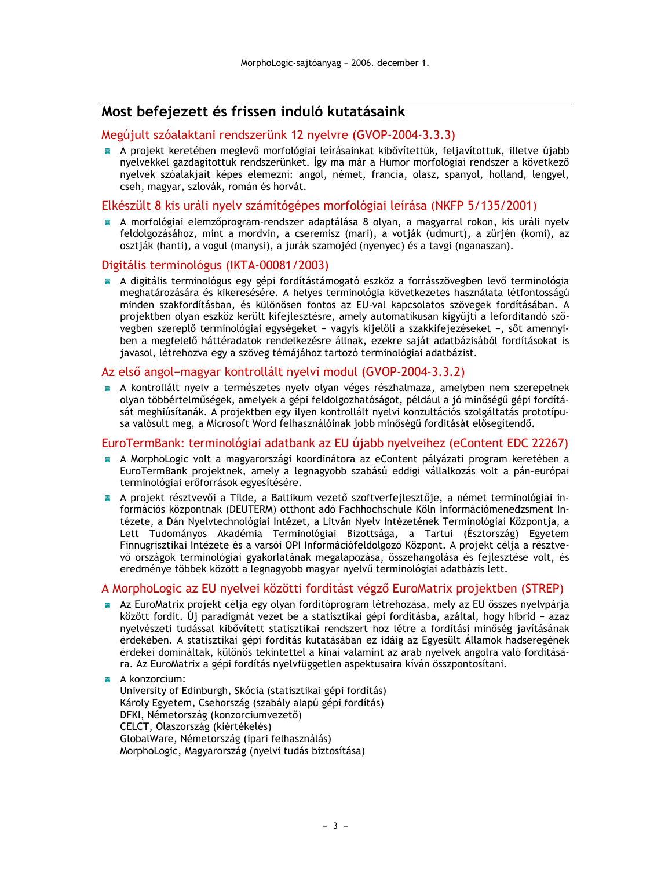## Most befejezett és frissen induló kutatásaink

#### Megújult szóalaktani rendszerünk 12 nyelvre (GVOP-2004-3.3.3)

A projekt keretében meglevő morfológiai leírásainkat kibővítettük, feljavítottuk, illetve újabb nyelvekkel gazdagítottuk rendszerünket. Így ma már a Humor morfológiai rendszer a következő nyelvek szóalakjait képes elemezni: angol, német, francia, olasz, spanyol, holland, lengyel, cseh, magyar, szlovák, román és horvát.

#### Elkészült 8 kis uráli nyelv számítógépes morfológiai leírása (NKFP 5/135/2001)

A morfológiai elemzőprogram-rendszer adaptálása 8 olyan, a magyarral rokon, kis uráli nyely feldolgozásához, mint a mordvin, a cseremisz (mari), a votják (udmurt), a zürjén (komi), az osztják (hanti), a vogul (manysi), a jurák szamojéd (nyenyec) és a tavgi (nganaszan).

#### Digitális terminológus (IKTA-00081/2003)

A digitális terminológus egy gépi fordítástámogató eszköz a forrásszövegben levő terminológia meghatározására és kikeresésére. A helyes terminológia következetes használata létfontosságú minden szakfordításban, és különösen fontos az EU-val kapcsolatos szövegek fordításában. A projektben olyan eszköz került kifejlesztésre, amely automatikusan kigyűjti a lefordítandó szövegben szereplő terminológiai egységeket - vagyis kijelöli a szakkifejezéseket -, sőt amennyiben a megfelelő háttéradatok rendelkezésre állnak, ezekre saját adatbázisából fordításokat is javasol, létrehozva egy a szöveg témájához tartozó terminológiai adatbázist.

#### Az első angol-magyar kontrollált nyelvi modul (GVOP-2004-3.3.2)

A kontrollált nyelv a természetes nyelv olvan véges részhalmaza, amelyben nem szerepelnek olyan többértelműségek, amelyek a gépi feldolgozhatóságot, például a jó minőségű gépi fordítását meghiúsítanák. A projektben egy ilyen kontrollált nyelvi konzultációs szolgáltatás prototípusa valósult meg, a Microsoft Word felhasználóinak jobb minőségű fordítását elősegítendő.

#### EuroTermBank: terminológiai adatbank az EU újabb nyelveihez (eContent EDC 22267)

- A MorphoLogic volt a magyarországi koordinátora az eContent pályázati program keretében a EuroTermBank projektnek, amely a legnagyobb szabású eddigi vállalkozás volt a pán-európai terminológiai erőforrások egyesítésére.
- A projekt résztvevői a Tilde, a Baltikum vezető szoftverfejlesztője, a német terminológiai információs központnak (DEUTERM) otthont adó Fachhochschule Köln Információmenedzsment Intézete, a Dán Nyelvtechnológiai Intézet, a Litván Nyelv Intézetének Terminológiai Központja, a Lett Tudományos Akadémia Terminológiai Bizottsága, a Tartui (Észtország) Egyetem Finnugrisztikai Intézete és a varsói OPI Információfeldolgozó Központ. A projekt célja a résztvevő országok terminológiai gyakorlatának megalapozása, összehangolása és fejlesztése volt, és eredménye többek között a legnagyobb magyar nyelvű terminológiai adatbázis lett.

#### A MorphoLogic az EU nyelvei közötti fordítást végző EuroMatrix projektben (STREP)

Az EuroMatrix projekt célja egy olyan fordítóprogram létrehozása, mely az EU összes nyelvpárja között fordít. Új paradigmát vezet be a statisztikai gépi fordításba, azáltal, hogy hibrid - azaz nyelvészeti tudással kibővített statisztikai rendszert hoz létre a fordítási minőség javításának érdekében. A statisztikai gépi fordítás kutatásában ez idáig az Egyesült Államok hadseregének érdekei domináltak, különös tekintettel a kínai valamint az arab nyelvek angolra való fordítására. Az EuroMatrix a gépi fordítás nyelvfüggetlen aspektusaira kíván összpontosítani.

A konzorcium: University of Edinburgh, Skócia (statisztikai gépi fordítás) Károly Egyetem, Csehország (szabály alapú gépi fordítás) DFKI, Németország (konzorciumvezető) CELCT, Olaszország (kiértékelés) GlobalWare, Németország (ipari felhasználás) MorphoLogic, Magyarország (nyelvi tudás biztosítása)